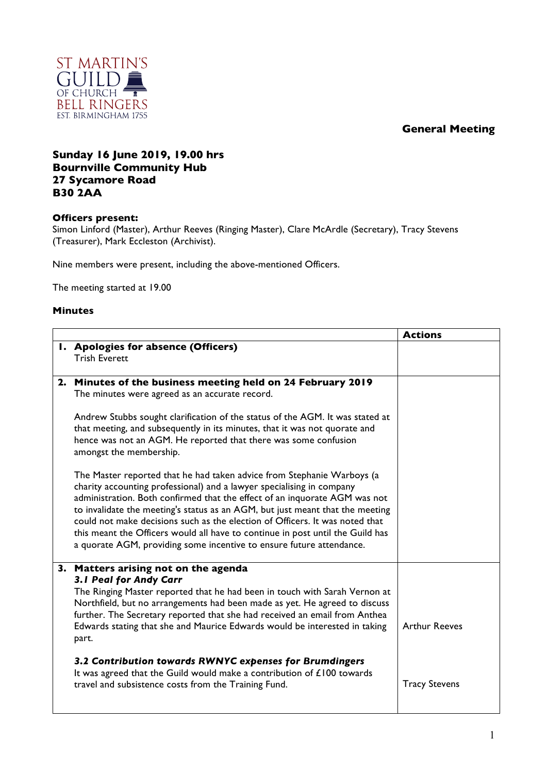## **General Meeting**



## **Sunday 16 June 2019, 19.00 hrs Bournville Community Hub 27 Sycamore Road B30 2AA**

## **Officers present:**

Simon Linford (Master), Arthur Reeves (Ringing Master), Clare McArdle (Secretary), Tracy Stevens (Treasurer), Mark Eccleston (Archivist).

Nine members were present, including the above-mentioned Officers.

The meeting started at 19.00

## **Minutes**

|                                                                                                                                                                                                                                                                                                                                                                                                                                                                                                                                                          | <b>Actions</b>       |
|----------------------------------------------------------------------------------------------------------------------------------------------------------------------------------------------------------------------------------------------------------------------------------------------------------------------------------------------------------------------------------------------------------------------------------------------------------------------------------------------------------------------------------------------------------|----------------------|
| I. Apologies for absence (Officers)<br><b>Trish Everett</b>                                                                                                                                                                                                                                                                                                                                                                                                                                                                                              |                      |
| 2. Minutes of the business meeting held on 24 February 2019<br>The minutes were agreed as an accurate record.                                                                                                                                                                                                                                                                                                                                                                                                                                            |                      |
| Andrew Stubbs sought clarification of the status of the AGM. It was stated at<br>that meeting, and subsequently in its minutes, that it was not quorate and<br>hence was not an AGM. He reported that there was some confusion<br>amongst the membership.                                                                                                                                                                                                                                                                                                |                      |
| The Master reported that he had taken advice from Stephanie Warboys (a<br>charity accounting professional) and a lawyer specialising in company<br>administration. Both confirmed that the effect of an inquorate AGM was not<br>to invalidate the meeting's status as an AGM, but just meant that the meeting<br>could not make decisions such as the election of Officers. It was noted that<br>this meant the Officers would all have to continue in post until the Guild has<br>a quorate AGM, providing some incentive to ensure future attendance. |                      |
| 3. Matters arising not on the agenda<br>3.1 Peal for Andy Carr<br>The Ringing Master reported that he had been in touch with Sarah Vernon at<br>Northfield, but no arrangements had been made as yet. He agreed to discuss<br>further. The Secretary reported that she had received an email from Anthea<br>Edwards stating that she and Maurice Edwards would be interested in taking<br>part.                                                                                                                                                          | <b>Arthur Reeves</b> |
| 3.2 Contribution towards RWNYC expenses for Brumdingers<br>It was agreed that the Guild would make a contribution of $£100$ towards<br>travel and subsistence costs from the Training Fund.                                                                                                                                                                                                                                                                                                                                                              | <b>Tracy Stevens</b> |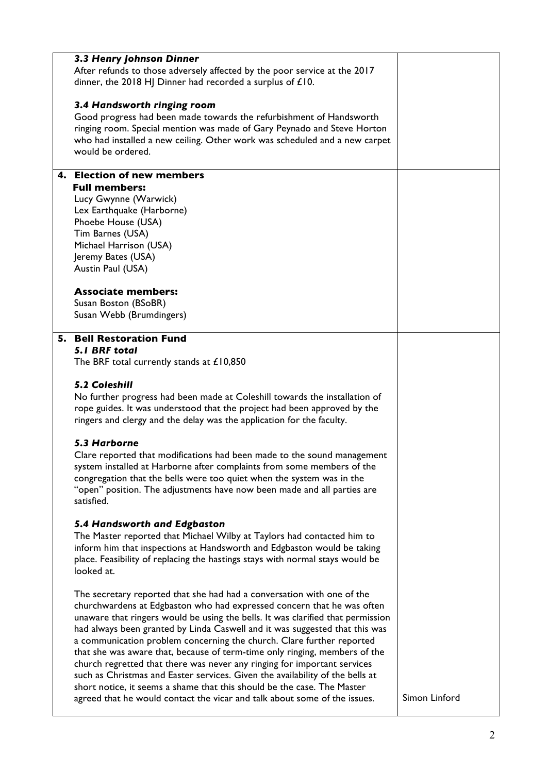| 3.3 Henry Johnson Dinner<br>After refunds to those adversely affected by the poor service at the 2017<br>dinner, the 2018 HJ Dinner had recorded a surplus of £10.                                                                                                                                                                                                                                                                                                                                                                                                                                                                                                                                                                                                                             |               |
|------------------------------------------------------------------------------------------------------------------------------------------------------------------------------------------------------------------------------------------------------------------------------------------------------------------------------------------------------------------------------------------------------------------------------------------------------------------------------------------------------------------------------------------------------------------------------------------------------------------------------------------------------------------------------------------------------------------------------------------------------------------------------------------------|---------------|
| 3.4 Handsworth ringing room<br>Good progress had been made towards the refurbishment of Handsworth<br>ringing room. Special mention was made of Gary Peynado and Steve Horton<br>who had installed a new ceiling. Other work was scheduled and a new carpet<br>would be ordered.                                                                                                                                                                                                                                                                                                                                                                                                                                                                                                               |               |
| 4. Election of new members<br><b>Full members:</b><br>Lucy Gwynne (Warwick)<br>Lex Earthquake (Harborne)<br>Phoebe House (USA)<br>Tim Barnes (USA)<br>Michael Harrison (USA)<br>Jeremy Bates (USA)<br>Austin Paul (USA)                                                                                                                                                                                                                                                                                                                                                                                                                                                                                                                                                                        |               |
| <b>Associate members:</b><br>Susan Boston (BSoBR)<br>Susan Webb (Brumdingers)                                                                                                                                                                                                                                                                                                                                                                                                                                                                                                                                                                                                                                                                                                                  |               |
| 5. Bell Restoration Fund<br><b>5.1 BRF total</b><br>The BRF total currently stands at £10,850<br><b>5.2 Coleshill</b><br>No further progress had been made at Coleshill towards the installation of<br>rope guides. It was understood that the project had been approved by the<br>ringers and clergy and the delay was the application for the faculty.                                                                                                                                                                                                                                                                                                                                                                                                                                       |               |
| 5.3 Harborne<br>Clare reported that modifications had been made to the sound management<br>system installed at Harborne after complaints from some members of the<br>congregation that the bells were too quiet when the system was in the<br>"open" position. The adjustments have now been made and all parties are<br>satisfied.                                                                                                                                                                                                                                                                                                                                                                                                                                                            |               |
| 5.4 Handsworth and Edgbaston<br>The Master reported that Michael Wilby at Taylors had contacted him to<br>inform him that inspections at Handsworth and Edgbaston would be taking<br>place. Feasibility of replacing the hastings stays with normal stays would be<br>looked at.                                                                                                                                                                                                                                                                                                                                                                                                                                                                                                               |               |
| The secretary reported that she had had a conversation with one of the<br>churchwardens at Edgbaston who had expressed concern that he was often<br>unaware that ringers would be using the bells. It was clarified that permission<br>had always been granted by Linda Caswell and it was suggested that this was<br>a communication problem concerning the church. Clare further reported<br>that she was aware that, because of term-time only ringing, members of the<br>church regretted that there was never any ringing for important services<br>such as Christmas and Easter services. Given the availability of the bells at<br>short notice, it seems a shame that this should be the case. The Master<br>agreed that he would contact the vicar and talk about some of the issues. | Simon Linford |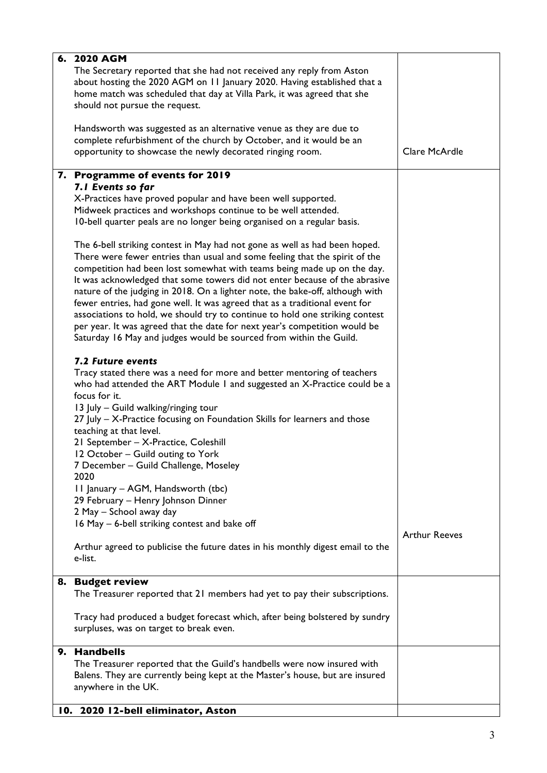| 6. 2020 AGM                                                                    |                      |
|--------------------------------------------------------------------------------|----------------------|
| The Secretary reported that she had not received any reply from Aston          |                      |
| about hosting the 2020 AGM on 11 January 2020. Having established that a       |                      |
| home match was scheduled that day at Villa Park, it was agreed that she        |                      |
| should not pursue the request.                                                 |                      |
|                                                                                |                      |
| Handsworth was suggested as an alternative venue as they are due to            |                      |
|                                                                                |                      |
| complete refurbishment of the church by October, and it would be an            |                      |
| opportunity to showcase the newly decorated ringing room.                      | Clare McArdle        |
|                                                                                |                      |
| 7. Programme of events for 2019                                                |                      |
| 7.1 Events so far                                                              |                      |
| X-Practices have proved popular and have been well supported.                  |                      |
| Midweek practices and workshops continue to be well attended.                  |                      |
| 10-bell quarter peals are no longer being organised on a regular basis.        |                      |
|                                                                                |                      |
| The 6-bell striking contest in May had not gone as well as had been hoped.     |                      |
| There were fewer entries than usual and some feeling that the spirit of the    |                      |
| competition had been lost somewhat with teams being made up on the day.        |                      |
| It was acknowledged that some towers did not enter because of the abrasive     |                      |
| nature of the judging in 2018. On a lighter note, the bake-off, although with  |                      |
|                                                                                |                      |
| fewer entries, had gone well. It was agreed that as a traditional event for    |                      |
| associations to hold, we should try to continue to hold one striking contest   |                      |
| per year. It was agreed that the date for next year's competition would be     |                      |
| Saturday 16 May and judges would be sourced from within the Guild.             |                      |
|                                                                                |                      |
| 7.2 Future events                                                              |                      |
| Tracy stated there was a need for more and better mentoring of teachers        |                      |
| who had attended the ART Module I and suggested an X-Practice could be a       |                      |
| focus for it.                                                                  |                      |
| 13 July - Guild walking/ringing tour                                           |                      |
| 27 July - X-Practice focusing on Foundation Skills for learners and those      |                      |
| teaching at that level.                                                        |                      |
|                                                                                |                      |
| 21 September - X-Practice, Coleshill                                           |                      |
| 12 October - Guild outing to York                                              |                      |
| 7 December - Guild Challenge, Moseley                                          |                      |
| 2020                                                                           |                      |
| 11 January – AGM, Handsworth (tbc)                                             |                      |
| 29 February - Henry Johnson Dinner                                             |                      |
| 2 May - School away day                                                        |                      |
| 16 May - 6-bell striking contest and bake off                                  |                      |
|                                                                                | <b>Arthur Reeves</b> |
| Arthur agreed to publicise the future dates in his monthly digest email to the |                      |
| e-list.                                                                        |                      |
|                                                                                |                      |
| 8. Budget review                                                               |                      |
| The Treasurer reported that 21 members had yet to pay their subscriptions.     |                      |
|                                                                                |                      |
| Tracy had produced a budget forecast which, after being bolstered by sundry    |                      |
| surpluses, was on target to break even.                                        |                      |
|                                                                                |                      |
| 9. Handbells                                                                   |                      |
| The Treasurer reported that the Guild's handbells were now insured with        |                      |
| Balens. They are currently being kept at the Master's house, but are insured   |                      |
| anywhere in the UK.                                                            |                      |
|                                                                                |                      |
| 10. 2020 12-bell eliminator, Aston                                             |                      |
|                                                                                |                      |